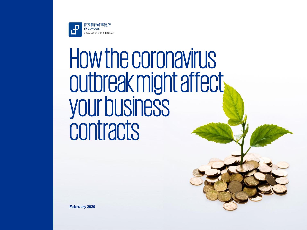

# How the coronavirus outbreak might affect your business contracts

**February 2020**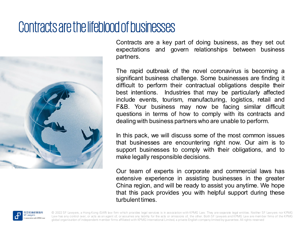### Contracts are the lifeblood of businesses



Contracts are a key part of doing business, as they set out expectations and govern relationships between business partners.

The rapid outbreak of the novel coronavirus is becoming a significant business challenge. Some businesses are finding it difficult to perform their contractual obligations despite their best intentions. Industries that may be particularly affected include events, tourism, manufacturing, logistics, retail and F&B. Your business may now be facing similar difficult questions in terms of how to comply with its contracts and dealing with business partners who are unable to perform.

In this pack, we will discuss some of the most common issues that businesses are encountering right now. Our aim is to support businesses to comply with their obligations, and to make legally responsible decisions.

Our team of experts in corporate and commercial laws has extensive experience in assisting businesses in the greater China region, and will be ready to assist you anytime. We hope that this pack provides you with helpful support during these turbulent times.

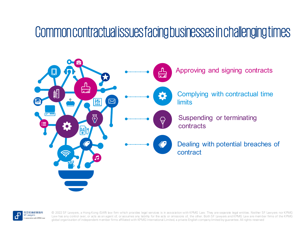### Common contractual issues facing businesses in challenging times



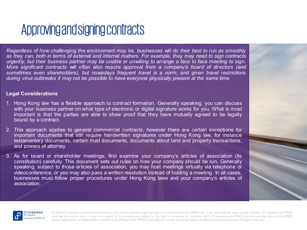### Approving and signing contracts

*Regardless of how challenging the environment may be, businesses will do their best to run as smoothly* as they can, both in terms of external and internal matters. For example, they may need to sign contracts urgently, but their business partner may be unable or unwilling to arrange a face to face meeting to sign. *More significant contracts will often also require approval from a company's board of directors (and sometimes even shareholders), but nowadays frequent travel is a norm, and given travel restrictions during virus outbreaks it may not be possible to have everyone physically present at the same time.*

#### **Legal Considerations**

- 1. Hong Kong law has a flexible approach to contract formation. Generally speaking, you can discuss with your business partner on what type of electronic or digital signature works for you. What is most important is that the parties are able to show proof that they have mutually agreed to be legally bound by a contract.
- 2. This approach applies to general commercial contracts, however there are certain exceptions for important documents that still require handwritten signatures under Hong Kong law, for instance testamentary documents, certain trust documents, documents about land and property transactions, and powers of attorney.
- 3. As for board or shareholder meetings, first examine your company's articles of association (its constitution) carefully. This document sets out rules on how your company should be run. Generally speaking, subject to those articles of association, you may host meetings virtually via telephone or videoconference, or you may also pass a written resolution instead of holding a meeting. In all cases, businesses must follow proper procedures under Hong Kong laws and your company's articles of association.



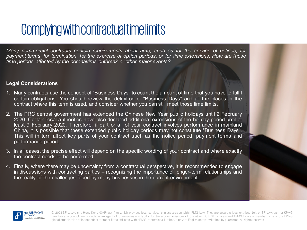# Complying with contractual time limits

*Many commercial contracts contain requirements about time, such as for the service of notices, for payment terms, for termination, for the exercise of option periods, or for time extensions. How are those time periods affected by the coronavirus outbreak or other major events?*

#### **Legal Considerations**

- 1. Many contracts use the concept of "Business Days" to count the amount of time that you have to fulfil certain obligations. You should review the definition of "Business Days" and all the places in the contract where this term is used, and consider whether you can still meet those time limits.
- 2. The PRC central government has extended the Chinese New Year public holidays until 2 February 2020. Certain local authorities have also declared additional extensions of the holiday period until at least 9 February 2020. Therefore, if part or all of your contract involves performance in mainland China, it is possible that these extended public holiday periods may not constitute "Business Days". This will in turn affect key parts of your contract such as the notice period, payment terms and performance period.
- 3. In all cases, the precise effect will depend on the specific wording of your contract and where exactly the contract needs to be performed.
- 4. Finally, where there may be uncertainty from a contractual perspective, it is recommended to engage in discussions with contracting parties – recognising the importance of longer-term relationships and the reality of the challenges faced by many businesses in the current environment.

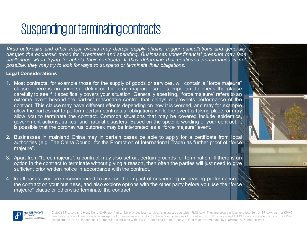# Suspending or terminating contracts

*Virus outbreaks and other major events may disrupt supply chains, trigger cancellations and generally dampen the economic mood for investment and spending. Businesses under financial pressure may face challenges when trying to uphold their contracts. If they determine that continued performance is not possible, they may try to look for ways to suspend or terminate their obligations.*

#### **Legal Considerations**

- 1. Most contracts, for example those for the supply of goods or services, will contain a "force majeure" clause. There is no universal definition for force majeure, so it is important to check the clause carefully to see if it specifically covers your situation. Generally speaking, "force majeure" refers to an extreme event beyond the parties' reasonable control that delays or prevents performance of the contract. This clause may have different effects depending on how it is worded, and may for example allow the parties not to perform certain contractual obligations while the event is taking place, or may allow you to terminate the contract. Common situations that may be covered include epidemics, government actions, strikes, and natural disasters. Based on the specific wording of your contract, it is possible that the coronavirus outbreak may be interpreted as a "force majeure" event.
- 2. Businesses in mainland China may in certain cases be able to apply for a certificate from local authorities (e.g. The China Council for the Promotion of International Trade) as further proof of "force majeure".
- 3. Apart from "force majeure", a contract may also set out certain grounds for termination. If there is an option in the contract to terminate without giving a reason, then often the parties will just need to give sufficient prior written notice in accordance with the contract.
- 4. In all cases, you are recommended to assess the impact of suspending or ceasing performance of the contract on your business, and also explore options with the other party before you use the "force majeure" clause or otherwise terminate the contract.

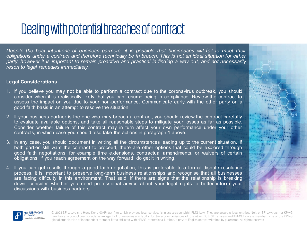# Dealing with potential breaches of contract

*Despite the best intentions of business partners, it is possible that businesses will fail to meet their* obligations under a contract and therefore technically be in breach. This is not an ideal situation for either party, however it is important to remain proactive and practical in finding a way out, and not necessarily *resort to legal remedies immediately.*

#### **Legal Considerations**

- 1. If you believe you may not be able to perform a contract due to the coronavirus outbreak, you should consider when it is realistically likely that you can resume being in compliance. Review the contract to assess the impact on you due to your non-performance. Communicate early with the other party on a good faith basis in an attempt to resolve the situation.
- 2. If your business partner is the one who may breach a contract, you should review the contract carefully to evaluate available options, and take all reasonable steps to mitigate your losses as far as possible. Consider whether failure of this contract may in turn affect your own performance under your other contracts, in which case you should also take the actions in paragraph 1 above.
- 3. In any case, you should document in writing all the circumstances leading up to the current situation. If both parties still want the contract to proceed, there are other options that could be explored through good faith negotiations, for example time extensions, contractual amendments, or waivers of certain obligations. If you reach agreement on the way forward, do get it in writing.
- 4. If you can get results through a good faith negotiation, this is preferable to a formal dispute resolution process. It is important to preserve long-term business relationships and recognise that all businesses are facing difficulty in this environment. That said, if there are signs that the relationship is breaking down, consider whether you need professional advice about your legal rights to better inform your discussions with business partners.

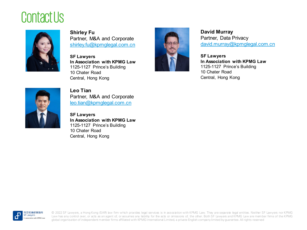## Contact Us



**Shirley Fu** Partner, M&A and Corporate [shirley.fu@kpmglegal.com.cn](mailto:shirley.fu@kpmglegal.com.cn)

**SF Lawyers In Association with KPMG Law** 1125-1127 Prince's Building 10 Chater Road Central, Hong Kong



**David Murray** Partner, Data Privacy [david.murray@kpmglegal.com.cn](mailto:ac.ma@kpmglegal.com.cn)

**SF Lawyers In Association with KPMG Law** 1125-1127 Prince's Building 10 Chater Road Central, Hong Kong



**Leo Tian** Partner, M&A and Corporate [leo.tian@kpmglegal.com.cn](mailto:leo.tian@kpmglegal.com.cn)

**SF Lawyers In Association with KPMG Law** 1125-1127 Prince's Building 10 Chater Road Central, Hong Kong